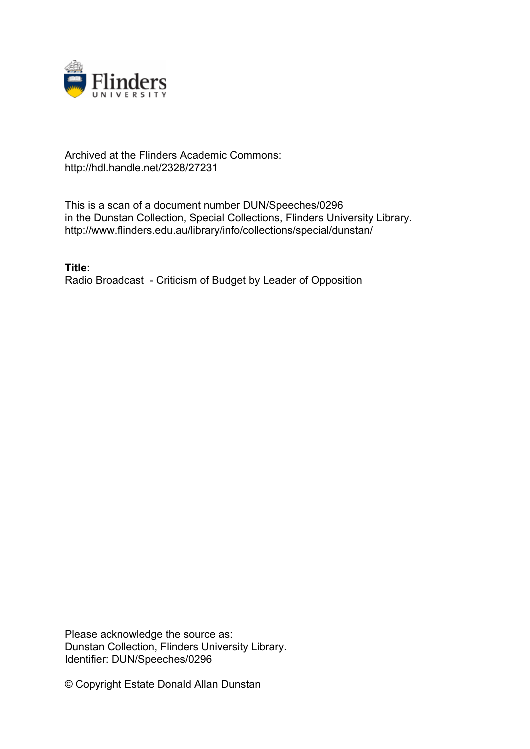

## Archived at the Flinders Academic Commons: http://hdl.handle.net/2328/27231

This is a scan of a document number DUN/Speeches/0296 in the Dunstan Collection, Special Collections, Flinders University Library. http://www.flinders.edu.au/library/info/collections/special/dunstan/

**Title:** Radio Broadcast - Criticism of Budget by Leader of Opposition

Please acknowledge the source as: Dunstan Collection, Flinders University Library. Identifier: DUN/Speeches/0296

© Copyright Estate Donald Allan Dunstan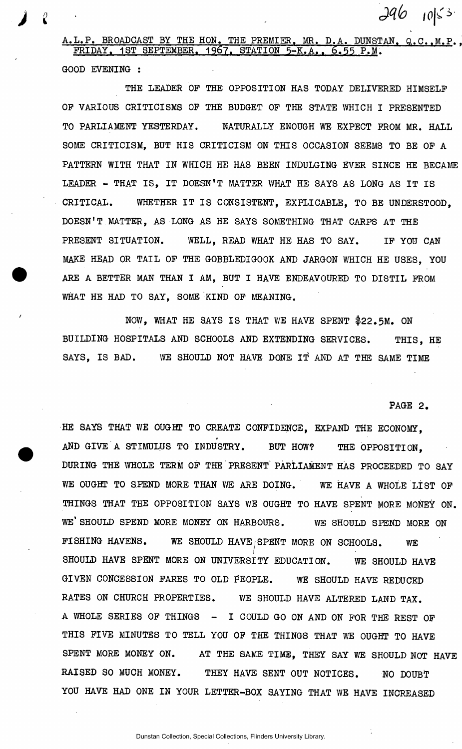A.L.P. BROADCAST BY THE HON. THE PREMIER, MR. D.A. DUNSTAN, Q.C.,M.P., FRIDAY. 1ST SEPTEMBER. 1967. STATION 5-K.A., 6.55 P.M. GOOD EVENING :

*I* 

THE LEADER OF THE OPPOSITION HAS TODAY DELIVERED HIMSELF OF VARIOUS CRITICISMS OF THE BUDGET OF THE STATE WHICH I PRESENTED TO PARLIAMENT YESTERDAY. NATURALLY ENOUGH WE EXPECT FROM MR. HALL SOME CRITICISM, BUT HIS CRITICISM ON THIS OCCASION SEEMS TO BE OF A PATTERN WITH THAT IN WHICH HE HAS BEEN INDULGING EVER SINCE HE BECAME LEADER - THAT IS, IT DOESN'T MATTER WHAT HE SAYS AS LONG AS IT IS CRITICAL. WHETHER IT IS CONSISTENT. EXPLICABLE. TO BE UNDERSTOOD. DOESN'T MATTER, AS LONG AS HE SAYS SOMETHING THAT CARPS AT THE PRESENT SITUATION. WELL, READ WHAT HE HAS TO SAY. IF YOU CAN MAKE HEAD OR TAIL OF THE GOBBLEDIGOOK AND JARGON WHICH HE USES, YOU ARE A BETTER MAN THAN I AM, BUT I HAVE ENDEAVOURED TO DISTIL FROM WHAT HE HAD TO SAY. SOME KIND OF MEANING.

NOW, WHAT HE SAYS IS THAT WE HAVE SPENT \$22.5M. ON BUILDING HOSPITALS AND SCHOOLS AND EXTENDING SERVICES. THIS, HE SAYS, IS BAD. WE SHOULD NOT HAVE DONE IT AND AT THE SAME TIME

PAGE 2.

 $296$   $10|53$ 

HE SAYS THAT WE OUGHT TO CREATE CONFIDENCE. EXPAND THE ECONOMY, AND GIVE A STIMULUS TO INDUSTRY. BUT HOW? THE OPPOSITION, DURING THE WHOLE TERM OF THE PRESENT" PARLIAMENT HAS PROCEEDED TO SAY WE OUGHT TO SPEND MORE THAN WE ARE DOING. WE HAVE A WHOLE LIST OF THINGS THAT THE OPPOSITION SAYS WE OUGHT TO HAVE SPENT MORE MONEY ON. WE'SHOULD SPEND MORE MONEY ON HARBOURS. WE SHOULD SPEND MORE ON FISHING HAVENS. WE SHOULD HAVEjSPENT MORE ON SCHOOLS. WE SHOULD HAVE SPENT MORE ON UNIVERSITY EDUCATION. WE SHOULD HAVE GIVEN CONCESSION FARES TO OLD PEOPLE. WE SHOULD HAVE REDUCED RATES ON CHURCH PROPERTIES. WE SHOULD HAVE ALTERED LAND TAX. A WHOLE SERIES OF THINGS - I COULD GO ON AND ON FOR THE REST OF THIS FIVE MINUTES TO TELL YOU OF THE THINGS THAT WE OUGHT TO HAVE SPENT MORE MONEY ON. AT THE SAME TIME, THEY SAY WE SHOULD NOT HAVE RAISED SO MUCH MONEY. THEY HAVE SENT OUT NOTICES. NO DOUBT YOU HAVE HAD ONE IN YOUR LETTER-BOX SAYING THAT WE HAVE INCREASED